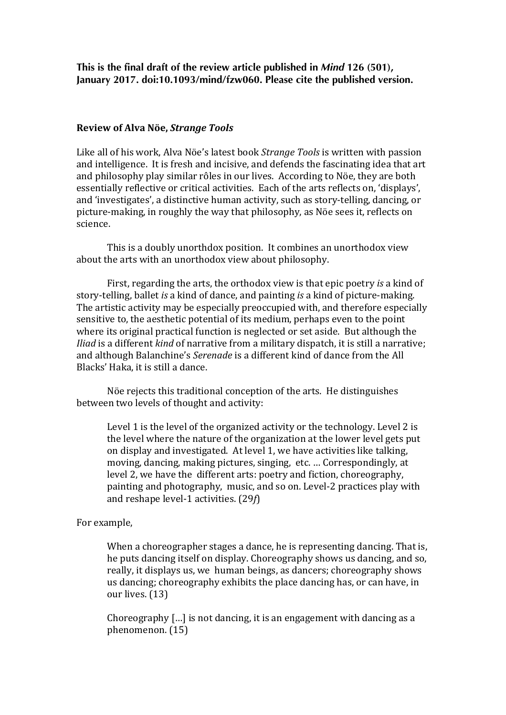**This is the final draft of the review article published in** *Mind* **126 (501), January 2017. doi:10.1093/mind/fzw060. Please cite the published version.**

## **Review of Alva Nöe,** *Strange Tools*

Like all of his work, Alva Nöe's latest book *Strange Tools* is written with passion and intelligence. It is fresh and incisive, and defends the fascinating idea that art and philosophy play similar rôles in our lives. According to Nöe, they are both essentially reflective or critical activities. Each of the arts reflects on, 'displays', and 'investigates', a distinctive human activity, such as story-telling, dancing, or picture-making, in roughly the way that philosophy, as Nöe sees it, reflects on science.

This is a doubly unorthdox position. It combines an unorthodox view about the arts with an unorthodox view about philosophy.

First, regarding the arts, the orthodox view is that epic poetry *is* a kind of story-telling, ballet *is* a kind of dance, and painting *is* a kind of picture-making. The artistic activity may be especially preoccupied with, and therefore especially sensitive to, the aesthetic potential of its medium, perhaps even to the point where its original practical function is neglected or set aside. But although the *Iliad* is a different *kind* of narrative from a military dispatch, it is still a narrative; and although Balanchine's *Serenade* is a different kind of dance from the All Blacks' Haka, it is still a dance.

Nöe rejects this traditional conception of the arts. He distinguishes between two levels of thought and activity:

Level 1 is the level of the organized activity or the technology. Level 2 is the level where the nature of the organization at the lower level gets put on display and investigated. At level 1, we have activities like talking, moving, dancing, making pictures, singing, etc. ... Correspondingly, at level 2, we have the different arts: poetry and fiction, choreography, painting and photography, music, and so on. Level-2 practices play with and reshape level-1 activities. (29*f*)

For example,

When a choreographer stages a dance, he is representing dancing. That is, he puts dancing itself on display. Choreography shows us dancing, and so, really, it displays us, we human beings, as dancers; choreography shows us dancing; choreography exhibits the place dancing has, or can have, in our lives. (13)

Choreography  $\lceil \ldots \rceil$  is not dancing, it is an engagement with dancing as a phenomenon. (15)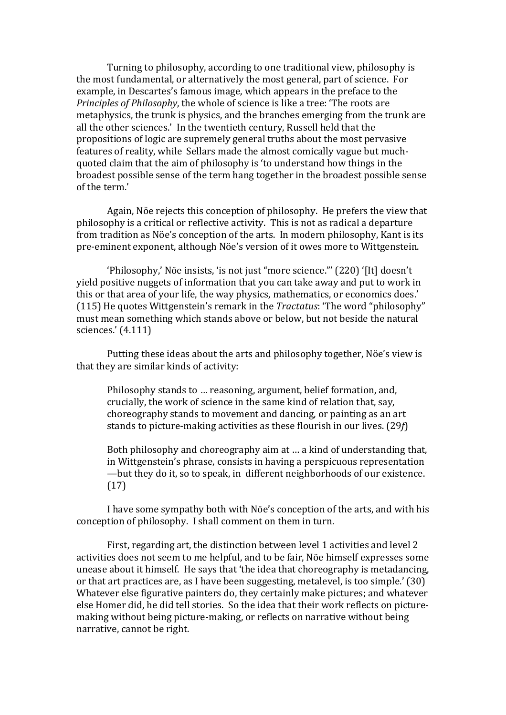Turning to philosophy, according to one traditional view, philosophy is the most fundamental, or alternatively the most general, part of science. For example, in Descartes's famous image, which appears in the preface to the *Principles of Philosophy*, the whole of science is like a tree: 'The roots are metaphysics, the trunk is physics, and the branches emerging from the trunk are all the other sciences.' In the twentieth century, Russell held that the propositions of logic are supremely general truths about the most pervasive features of reality, while Sellars made the almost comically vague but muchquoted claim that the aim of philosophy is 'to understand how things in the broadest possible sense of the term hang together in the broadest possible sense of the term.'

Again, Nöe rejects this conception of philosophy. He prefers the view that philosophy is a critical or reflective activity. This is not as radical a departure from tradition as Nöe's conception of the arts. In modern philosophy, Kant is its pre-eminent exponent, although Nöe's version of it owes more to Wittgenstein.

'Philosophy,' Nöe insists, 'is not just "more science."' (220) '[It] doesn't yield positive nuggets of information that you can take away and put to work in this or that area of your life, the way physics, mathematics, or economics does.' (115) He quotes Wittgenstein's remark in the *Tractatus*: 'The word "philosophy" must mean something which stands above or below, but not beside the natural sciences.' (4.111)

Putting these ideas about the arts and philosophy together, Nöe's view is that they are similar kinds of activity:

Philosophy stands to ... reasoning, argument, belief formation, and, crucially, the work of science in the same kind of relation that, say, choreography stands to movement and dancing, or painting as an art stands to picture-making activities as these flourish in our lives. (29*f*)

Both philosophy and choreography aim at ... a kind of understanding that, in Wittgenstein's phrase, consists in having a perspicuous representation —but they do it, so to speak, in different neighborhoods of our existence. (17)

I have some sympathy both with Nöe's conception of the arts, and with his conception of philosophy. I shall comment on them in turn.

First, regarding art, the distinction between level 1 activities and level 2 activities does not seem to me helpful, and to be fair, Nöe himself expresses some unease about it himself. He says that 'the idea that choreography is metadancing, or that art practices are, as I have been suggesting, metalevel, is too simple.'  $(30)$ Whatever else figurative painters do, they certainly make pictures; and whatever else Homer did, he did tell stories. So the idea that their work reflects on picturemaking without being picture-making, or reflects on narrative without being narrative, cannot be right.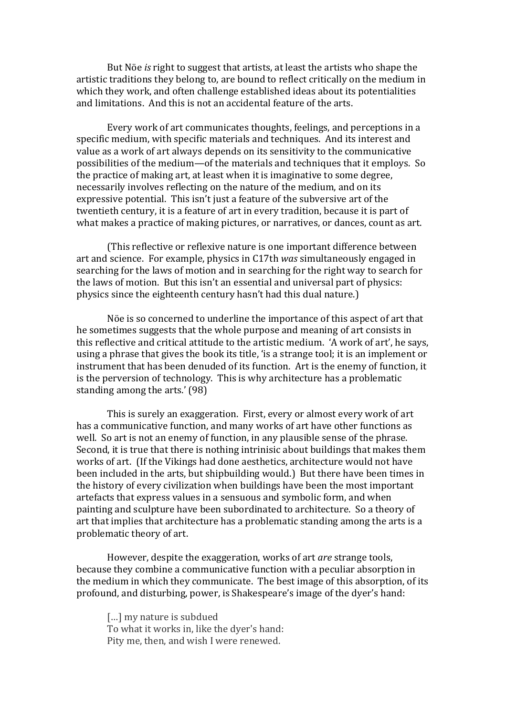But Nöe *is* right to suggest that artists, at least the artists who shape the artistic traditions they belong to, are bound to reflect critically on the medium in which they work, and often challenge established ideas about its potentialities and limitations. And this is not an accidental feature of the arts.

Every work of art communicates thoughts, feelings, and perceptions in a specific medium, with specific materials and techniques. And its interest and value as a work of art always depends on its sensitivity to the communicative possibilities of the medium—of the materials and techniques that it employs. So the practice of making art, at least when it is imaginative to some degree, necessarily involves reflecting on the nature of the medium, and on its expressive potential. This isn't just a feature of the subversive art of the twentieth century, it is a feature of art in every tradition, because it is part of what makes a practice of making pictures, or narratives, or dances, count as art.

(This reflective or reflexive nature is one important difference between art and science. For example, physics in C17th *was* simultaneously engaged in searching for the laws of motion and in searching for the right way to search for the laws of motion. But this isn't an essential and universal part of physics: physics since the eighteenth century hasn't had this dual nature.)

Nöe is so concerned to underline the importance of this aspect of art that he sometimes suggests that the whole purpose and meaning of art consists in this reflective and critical attitude to the artistic medium. 'A work of art', he says, using a phrase that gives the book its title, 'is a strange tool; it is an implement or instrument that has been denuded of its function. Art is the enemy of function, it is the perversion of technology. This is why architecture has a problematic standing among the arts.' (98)

This is surely an exaggeration. First, every or almost every work of art has a communicative function, and many works of art have other functions as well. So art is not an enemy of function, in any plausible sense of the phrase. Second, it is true that there is nothing intrinisic about buildings that makes them works of art. If the Vikings had done aesthetics, architecture would not have been included in the arts, but shipbuilding would.) But there have been times in the history of every civilization when buildings have been the most important artefacts that express values in a sensuous and symbolic form, and when painting and sculpture have been subordinated to architecture. So a theory of art that implies that architecture has a problematic standing among the arts is a problematic theory of art.

However, despite the exaggeration, works of art *are* strange tools, because they combine a communicative function with a peculiar absorption in the medium in which they communicate. The best image of this absorption, of its profound, and disturbing, power, is Shakespeare's image of the dyer's hand:

[...] my nature is subdued To what it works in, like the dyer's hand: Pity me, then, and wish I were renewed.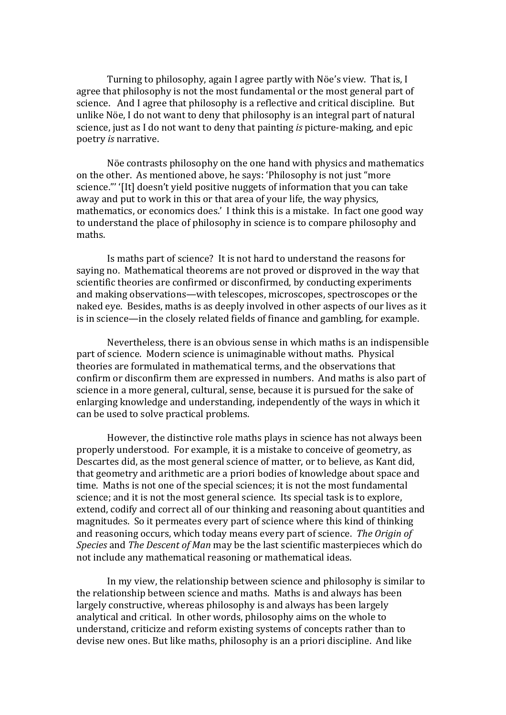Turning to philosophy, again I agree partly with Nöe's view. That is, I agree that philosophy is not the most fundamental or the most general part of science. And I agree that philosophy is a reflective and critical discipline. But unlike Nöe, I do not want to deny that philosophy is an integral part of natural science, just as I do not want to deny that painting *is* picture-making, and epic poetry *is* narrative. 

Nöe contrasts philosophy on the one hand with physics and mathematics on the other. As mentioned above, he says: 'Philosophy is not just "more science."' '[It] doesn't yield positive nuggets of information that you can take away and put to work in this or that area of your life, the way physics, mathematics, or economics does.' I think this is a mistake. In fact one good way to understand the place of philosophy in science is to compare philosophy and maths.

Is maths part of science? It is not hard to understand the reasons for saying no. Mathematical theorems are not proved or disproved in the way that scientific theories are confirmed or disconfirmed, by conducting experiments and making observations—with telescopes, microscopes, spectroscopes or the naked eye. Besides, maths is as deeply involved in other aspects of our lives as it is in science—in the closely related fields of finance and gambling, for example.

Nevertheless, there is an obvious sense in which maths is an indispensible part of science. Modern science is unimaginable without maths. Physical theories are formulated in mathematical terms, and the observations that confirm or disconfirm them are expressed in numbers. And maths is also part of science in a more general, cultural, sense, because it is pursued for the sake of enlarging knowledge and understanding, independently of the ways in which it can be used to solve practical problems.

However, the distinctive role maths plays in science has not always been properly understood. For example, it is a mistake to conceive of geometry, as Descartes did, as the most general science of matter, or to believe, as Kant did, that geometry and arithmetic are a priori bodies of knowledge about space and time. Maths is not one of the special sciences; it is not the most fundamental science; and it is not the most general science. Its special task is to explore, extend, codify and correct all of our thinking and reasoning about quantities and magnitudes. So it permeates every part of science where this kind of thinking and reasoning occurs, which today means every part of science. The Origin of *Species* and *The Descent of Man* may be the last scientific masterpieces which do not include any mathematical reasoning or mathematical ideas.

In my view, the relationship between science and philosophy is similar to the relationship between science and maths. Maths is and always has been largely constructive, whereas philosophy is and always has been largely analytical and critical. In other words, philosophy aims on the whole to understand, criticize and reform existing systems of concepts rather than to devise new ones. But like maths, philosophy is an a priori discipline. And like